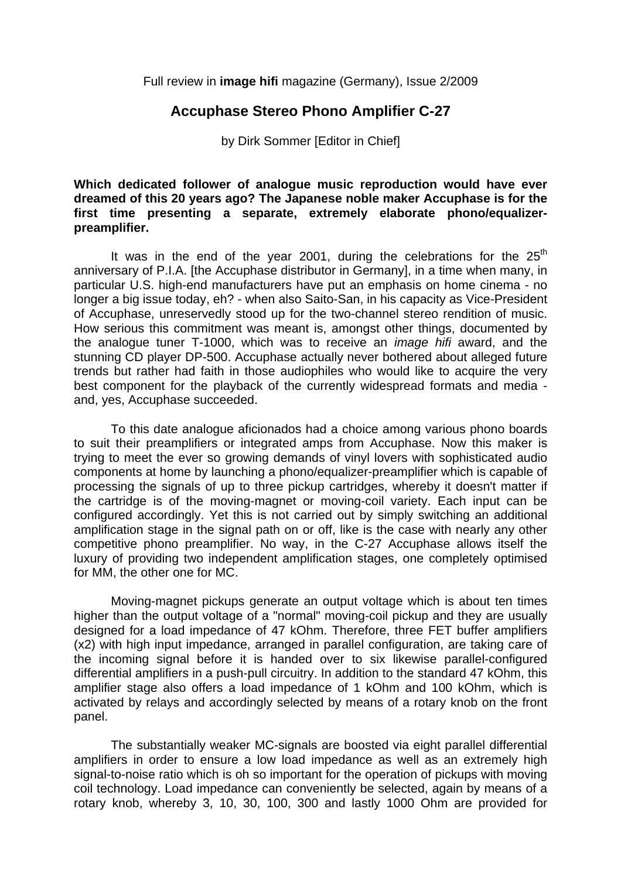Full review in **image hifi** magazine (Germany), Issue 2/2009

## **Accuphase Stereo Phono Amplifier C-27**

by Dirk Sommer [Editor in Chief]

## **Which dedicated follower of analogue music reproduction would have ever dreamed of this 20 years ago? The Japanese noble maker Accuphase is for the first time presenting a separate, extremely elaborate phono/equalizerpreamplifier.**

It was in the end of the year 2001, during the celebrations for the  $25<sup>th</sup>$ anniversary of P.I.A. [the Accuphase distributor in Germany], in a time when many, in particular U.S. high-end manufacturers have put an emphasis on home cinema - no longer a big issue today, eh? - when also Saito-San, in his capacity as Vice-President of Accuphase, unreservedly stood up for the two-channel stereo rendition of music. How serious this commitment was meant is, amongst other things, documented by the analogue tuner T-1000, which was to receive an *image hifi* award, and the stunning CD player DP-500. Accuphase actually never bothered about alleged future trends but rather had faith in those audiophiles who would like to acquire the very best component for the playback of the currently widespread formats and media and, yes, Accuphase succeeded.

 To this date analogue aficionados had a choice among various phono boards to suit their preamplifiers or integrated amps from Accuphase. Now this maker is trying to meet the ever so growing demands of vinyl lovers with sophisticated audio components at home by launching a phono/equalizer-preamplifier which is capable of processing the signals of up to three pickup cartridges, whereby it doesn't matter if the cartridge is of the moving-magnet or moving-coil variety. Each input can be configured accordingly. Yet this is not carried out by simply switching an additional amplification stage in the signal path on or off, like is the case with nearly any other competitive phono preamplifier. No way, in the C-27 Accuphase allows itself the luxury of providing two independent amplification stages, one completely optimised for MM, the other one for MC.

 Moving-magnet pickups generate an output voltage which is about ten times higher than the output voltage of a "normal" moving-coil pickup and they are usually designed for a load impedance of 47 kOhm. Therefore, three FET buffer amplifiers (x2) with high input impedance, arranged in parallel configuration, are taking care of the incoming signal before it is handed over to six likewise parallel-configured differential amplifiers in a push-pull circuitry. In addition to the standard 47 kOhm, this amplifier stage also offers a load impedance of 1 kOhm and 100 kOhm, which is activated by relays and accordingly selected by means of a rotary knob on the front panel.

 The substantially weaker MC-signals are boosted via eight parallel differential amplifiers in order to ensure a low load impedance as well as an extremely high signal-to-noise ratio which is oh so important for the operation of pickups with moving coil technology. Load impedance can conveniently be selected, again by means of a rotary knob, whereby 3, 10, 30, 100, 300 and lastly 1000 Ohm are provided for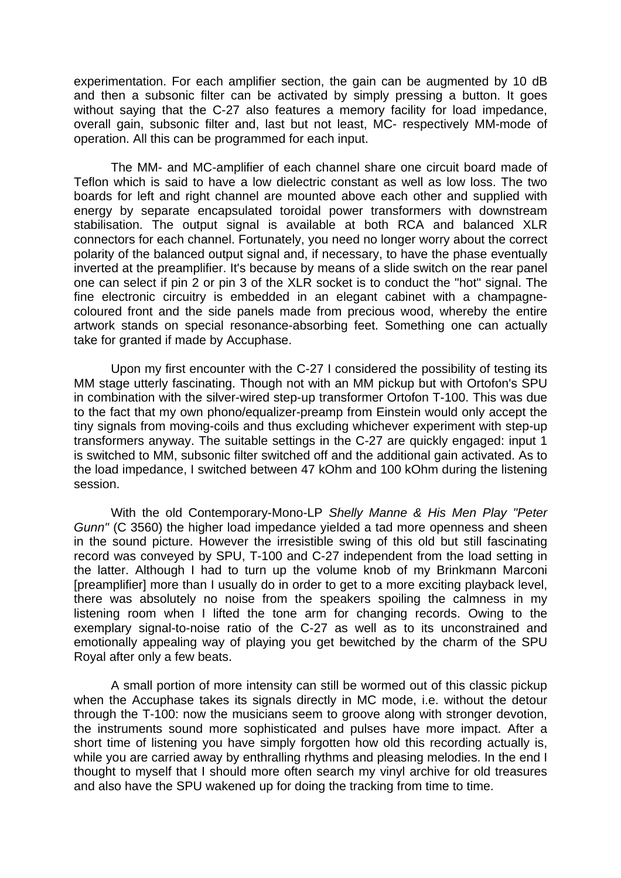experimentation. For each amplifier section, the gain can be augmented by 10 dB and then a subsonic filter can be activated by simply pressing a button. It goes without saying that the C-27 also features a memory facility for load impedance, overall gain, subsonic filter and, last but not least, MC- respectively MM-mode of operation. All this can be programmed for each input.

 The MM- and MC-amplifier of each channel share one circuit board made of Teflon which is said to have a low dielectric constant as well as low loss. The two boards for left and right channel are mounted above each other and supplied with energy by separate encapsulated toroidal power transformers with downstream stabilisation. The output signal is available at both RCA and balanced XLR connectors for each channel. Fortunately, you need no longer worry about the correct polarity of the balanced output signal and, if necessary, to have the phase eventually inverted at the preamplifier. It's because by means of a slide switch on the rear panel one can select if pin 2 or pin 3 of the XLR socket is to conduct the "hot" signal. The fine electronic circuitry is embedded in an elegant cabinet with a champagnecoloured front and the side panels made from precious wood, whereby the entire artwork stands on special resonance-absorbing feet. Something one can actually take for granted if made by Accuphase.

 Upon my first encounter with the C-27 I considered the possibility of testing its MM stage utterly fascinating. Though not with an MM pickup but with Ortofon's SPU in combination with the silver-wired step-up transformer Ortofon T-100. This was due to the fact that my own phono/equalizer-preamp from Einstein would only accept the tiny signals from moving-coils and thus excluding whichever experiment with step-up transformers anyway. The suitable settings in the C-27 are quickly engaged: input 1 is switched to MM, subsonic filter switched off and the additional gain activated. As to the load impedance, I switched between 47 kOhm and 100 kOhm during the listening session.

 With the old Contemporary-Mono-LP *Shelly Manne & His Men Play "Peter Gunn"* (C 3560) the higher load impedance yielded a tad more openness and sheen in the sound picture. However the irresistible swing of this old but still fascinating record was conveyed by SPU, T-100 and C-27 independent from the load setting in the latter. Although I had to turn up the volume knob of my Brinkmann Marconi [preamplifier] more than I usually do in order to get to a more exciting playback level, there was absolutely no noise from the speakers spoiling the calmness in my listening room when I lifted the tone arm for changing records. Owing to the exemplary signal-to-noise ratio of the C-27 as well as to its unconstrained and emotionally appealing way of playing you get bewitched by the charm of the SPU Royal after only a few beats.

 A small portion of more intensity can still be wormed out of this classic pickup when the Accuphase takes its signals directly in MC mode, i.e. without the detour through the T-100: now the musicians seem to groove along with stronger devotion, the instruments sound more sophisticated and pulses have more impact. After a short time of listening you have simply forgotten how old this recording actually is, while you are carried away by enthralling rhythms and pleasing melodies. In the end I thought to myself that I should more often search my vinyl archive for old treasures and also have the SPU wakened up for doing the tracking from time to time.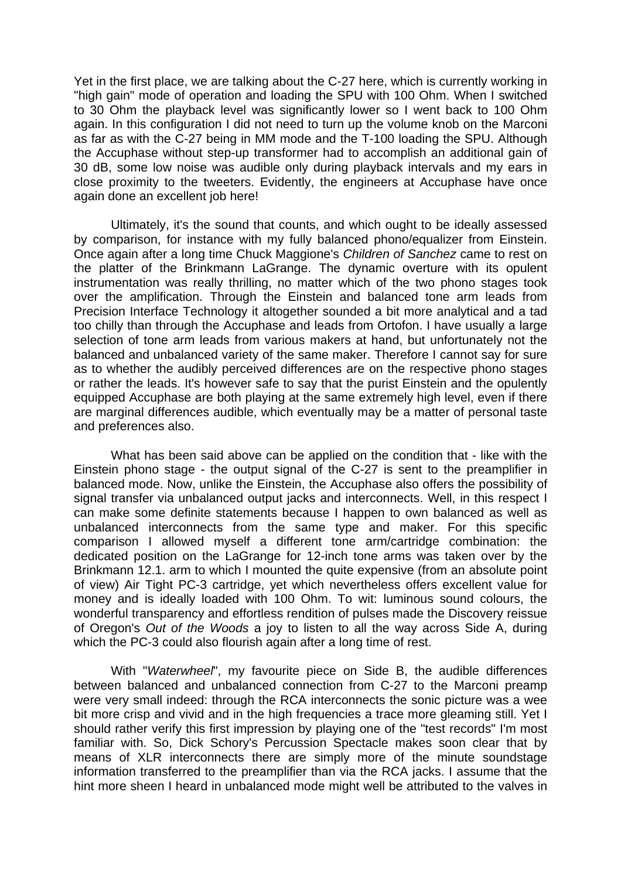Yet in the first place, we are talking about the C-27 here, which is currently working in "high gain" mode of operation and loading the SPU with 100 Ohm. When I switched to 30 Ohm the playback level was significantly lower so I went back to 100 Ohm again. In this configuration I did not need to turn up the volume knob on the Marconi as far as with the C-27 being in MM mode and the T-100 loading the SPU. Although the Accuphase without step-up transformer had to accomplish an additional gain of 30 dB, some low noise was audible only during playback intervals and my ears in close proximity to the tweeters. Evidently, the engineers at Accuphase have once again done an excellent job here!

 Ultimately, it's the sound that counts, and which ought to be ideally assessed by comparison, for instance with my fully balanced phono/equalizer from Einstein. Once again after a long time Chuck Maggione's *Children of Sanchez* came to rest on the platter of the Brinkmann LaGrange. The dynamic overture with its opulent instrumentation was really thrilling, no matter which of the two phono stages took over the amplification. Through the Einstein and balanced tone arm leads from Precision Interface Technology it altogether sounded a bit more analytical and a tad too chilly than through the Accuphase and leads from Ortofon. I have usually a large selection of tone arm leads from various makers at hand, but unfortunately not the balanced and unbalanced variety of the same maker. Therefore I cannot say for sure as to whether the audibly perceived differences are on the respective phono stages or rather the leads. It's however safe to say that the purist Einstein and the opulently equipped Accuphase are both playing at the same extremely high level, even if there are marginal differences audible, which eventually may be a matter of personal taste and preferences also.

 What has been said above can be applied on the condition that - like with the Einstein phono stage - the output signal of the C-27 is sent to the preamplifier in balanced mode. Now, unlike the Einstein, the Accuphase also offers the possibility of signal transfer via unbalanced output jacks and interconnects. Well, in this respect I can make some definite statements because I happen to own balanced as well as unbalanced interconnects from the same type and maker. For this specific comparison I allowed myself a different tone arm/cartridge combination: the dedicated position on the LaGrange for 12-inch tone arms was taken over by the Brinkmann 12.1. arm to which I mounted the quite expensive (from an absolute point of view) Air Tight PC-3 cartridge, yet which nevertheless offers excellent value for money and is ideally loaded with 100 Ohm. To wit: luminous sound colours, the wonderful transparency and effortless rendition of pulses made the Discovery reissue of Oregon's *Out of the Woods* a joy to listen to all the way across Side A, during which the PC-3 could also flourish again after a long time of rest.

 With "*Waterwheel*", my favourite piece on Side B, the audible differences between balanced and unbalanced connection from C-27 to the Marconi preamp were very small indeed: through the RCA interconnects the sonic picture was a wee bit more crisp and vivid and in the high frequencies a trace more gleaming still. Yet I should rather verify this first impression by playing one of the "test records" I'm most familiar with. So, Dick Schory's Percussion Spectacle makes soon clear that by means of XLR interconnects there are simply more of the minute soundstage information transferred to the preamplifier than via the RCA jacks. I assume that the hint more sheen I heard in unbalanced mode might well be attributed to the valves in